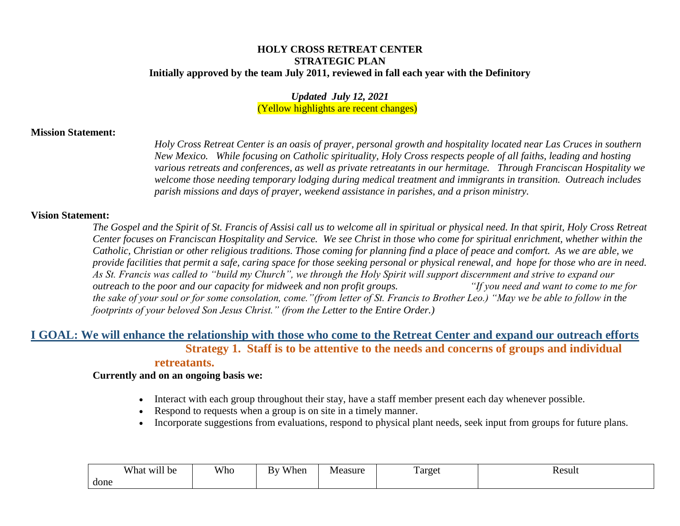#### **HOLY CROSS RETREAT CENTER STRATEGIC PLAN Initially approved by the team July 2011, reviewed in fall each year with the Definitory**

*Updated July 12, 2021* (Yellow highlights are recent changes)

#### **Mission Statement:**

*Holy Cross Retreat Center is an oasis of prayer, personal growth and hospitality located near Las Cruces in southern New Mexico. While focusing on Catholic spirituality, Holy Cross respects people of all faiths, leading and hosting various retreats and conferences, as well as private retreatants in our hermitage. Through Franciscan Hospitality we welcome those needing temporary lodging during medical treatment and immigrants in transition. Outreach includes parish missions and days of prayer, weekend assistance in parishes, and a prison ministry.* 

#### **Vision Statement:**

*The Gospel and the Spirit of St. Francis of Assisi call us to welcome all in spiritual or physical need. In that spirit, Holy Cross Retreat Center focuses on Franciscan Hospitality and Service. We see Christ in those who come for spiritual enrichment, whether within the Catholic, Christian or other religious traditions. Those coming for planning find a place of peace and comfort. As we are able, we provide facilities that permit a safe, caring space for those seeking personal or physical renewal, and hope for those who are in need. As St. Francis was called to "build my Church", we through the Holy Spirit will support discernment and strive to expand our outreach to the poor and our capacity for midweek and non profit groups. "If you need and want to come to me for the sake of your soul or for some consolation, come."(from letter of St. Francis to Brother Leo.) "May we be able to follow in the footprints of your beloved Son Jesus Christ." (from the Letter to the Entire Order.)*

## **I GOAL: We will enhance the relationship with those who come to the Retreat Center and expand our outreach efforts Strategy 1. Staff is to be attentive to the needs and concerns of groups and individual retreatants.**

- Interact with each group throughout their stay, have a staff member present each day whenever possible.
- Respond to requests when a group is on site in a timely manner.
- Incorporate suggestions from evaluations, respond to physical plant needs, seek input from groups for future plans.

| <br>X/1<br>. be<br>'hat<br><b>XX71</b> | Who | <b>TT 71</b><br>/hen<br>Wh.<br>B١ | Measure | $\mathbf{r}$<br>Target | Result<br>. |
|----------------------------------------|-----|-----------------------------------|---------|------------------------|-------------|
| done                                   |     |                                   |         |                        |             |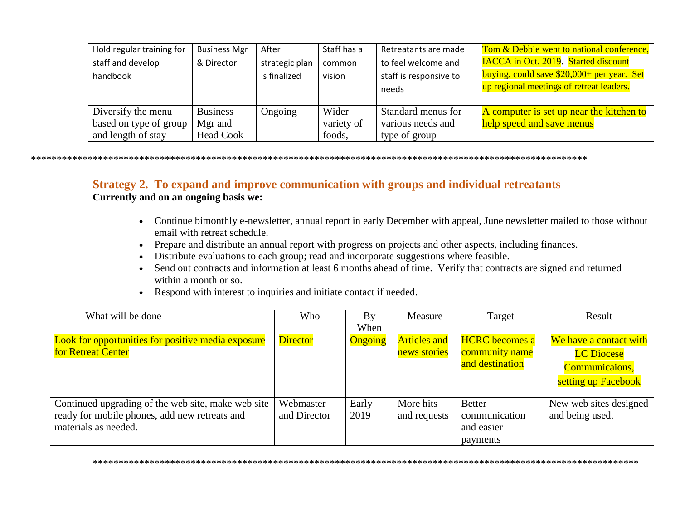| Hold regular training for                                          | <b>Business Mgr</b>                            | After                          | Staff has a                   | Retreatants are made                                     | Tom & Debbie went to national conference,                                                                                             |
|--------------------------------------------------------------------|------------------------------------------------|--------------------------------|-------------------------------|----------------------------------------------------------|---------------------------------------------------------------------------------------------------------------------------------------|
| staff and develop<br>handbook                                      | & Director                                     | strategic plan<br>is finalized | common<br>vision              | to feel welcome and<br>staff is responsive to<br>needs   | <b>IACCA</b> in Oct. 2019. Started discount<br>buying, could save \$20,000+ per year. Set<br>up regional meetings of retreat leaders. |
| Diversify the menu<br>based on type of group<br>and length of stay | <b>Business</b><br>Mgr and<br><b>Head Cook</b> | Ongoing                        | Wider<br>variety of<br>foods, | Standard menus for<br>various needs and<br>type of group | A computer is set up near the kitchen to<br>help speed and save menus                                                                 |

# Strategy 2. To expand and improve communication with groups and individual retreatants

- Continue bimonthly e-newsletter, annual report in early December with appeal, June newsletter mailed to those without email with retreat schedule.
- Prepare and distribute an annual report with progress on projects and other aspects, including finances.
- Distribute evaluations to each group; read and incorporate suggestions where feasible.
- Send out contracts and information at least 6 months ahead of time. Verify that contracts are signed and returned within a month or so.
- Respond with interest to inquiries and initiate contact if needed.

| What will be done                                         | Who             | By      | Measure             | Target                | Result                 |
|-----------------------------------------------------------|-----------------|---------|---------------------|-----------------------|------------------------|
|                                                           |                 | When    |                     |                       |                        |
| <b>Look for opportunities for positive media exposure</b> | <b>Director</b> | Ongoing | <b>Articles and</b> | <b>HCRC</b> becomes a | We have a contact with |
| for Retreat Center                                        |                 |         | news stories        | community name        | <b>LC</b> Diocese      |
|                                                           |                 |         |                     | and destination       | Communicaions,         |
|                                                           |                 |         |                     |                       | setting up Facebook    |
| Continued upgrading of the web site, make web site        | Webmaster       | Early   | More hits           | <b>Better</b>         | New web sites designed |
| ready for mobile phones, add new retreats and             | and Director    | 2019    | and requests        | communication         | and being used.        |
| materials as needed.                                      |                 |         |                     | and easier            |                        |
|                                                           |                 |         |                     | payments              |                        |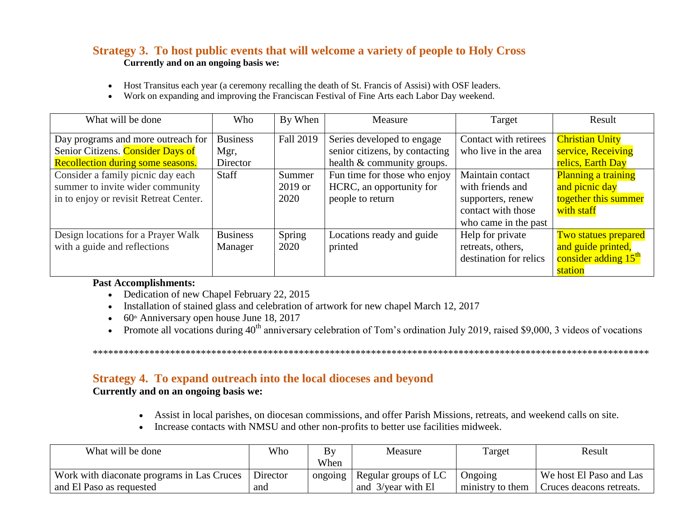# **Strategy 3. To host public events that will welcome a variety of people to Holy Cross Currently and on an ongoing basis we:**

- Host Transitus each year (a ceremony recalling the death of St. Francis of Assisi) with OSF leaders.
- Work on expanding and improving the Franciscan Festival of Fine Arts each Labor Day weekend.

| What will be done                        | Who             | By When   | Measure                        | Target                 | Result                           |
|------------------------------------------|-----------------|-----------|--------------------------------|------------------------|----------------------------------|
| Day programs and more outreach for       | <b>Business</b> | Fall 2019 | Series developed to engage     | Contact with retirees  | <b>Christian Unity</b>           |
| Senior Citizens. Consider Days of        | Mgr,            |           | senior citizens, by contacting | who live in the area   | service, Receiving               |
| <b>Recollection during some seasons.</b> | Director        |           | health & community groups.     |                        | relics, Earth Day                |
| Consider a family picnic day each        | Staff           | Summer    | Fun time for those who enjoy   | Maintain contact       | Planning a training              |
| summer to invite wider community         |                 | 2019 or   | HCRC, an opportunity for       | with friends and       | and picnic day                   |
| in to enjoy or revisit Retreat Center.   |                 | 2020      | people to return               | supporters, renew      | together this summer             |
|                                          |                 |           |                                | contact with those     | with staff                       |
|                                          |                 |           |                                | who came in the past   |                                  |
| Design locations for a Prayer Walk       | <b>Business</b> | Spring    | Locations ready and guide      | Help for private       | <b>Two statues prepared</b>      |
| with a guide and reflections             | Manager         | 2020      | printed                        | retreats, others,      | and guide printed,               |
|                                          |                 |           |                                | destination for relics | consider adding 15 <sup>th</sup> |
|                                          |                 |           |                                |                        | station                          |

### **Past Accomplishments:**

- Dedication of new Chapel February 22, 2015
- Installation of stained glass and celebration of artwork for new chapel March 12, 2017
- $\bullet$  60<sup>th</sup> Anniversary open house June 18, 2017
- Promote all vocations during  $40^{th}$  anniversary celebration of Tom's ordination July 2019, raised \$9,000, 3 videos of vocations

\*\*\*\*\*\*\*\*\*\*\*\*\*\*\*\*\*\*\*\*\*\*\*\*\*\*\*\*\*\*\*\*\*\*\*\*\*\*\*\*\*\*\*\*\*\*\*\*\*\*\*\*\*\*\*\*\*\*\*\*\*\*\*\*\*\*\*\*\*\*\*\*\*\*\*\*\*\*\*\*\*\*\*\*\*\*\*\*\*\*\*\*\*\*\*\*\*\*\*\*\*\*\*\*\*\*\*\*

# **Strategy 4. To expand outreach into the local dioceses and beyond**

- Assist in local parishes, on diocesan commissions, and offer Parish Missions, retreats, and weekend calls on site.
- Increase contacts with NMSU and other non-profits to better use facilities midweek.

| What will be done                          | Who      | B١      | Measure              | Target           | Result                   |
|--------------------------------------------|----------|---------|----------------------|------------------|--------------------------|
|                                            |          | When    |                      |                  |                          |
| Work with diaconate programs in Las Cruces | Director | ongoing | Regular groups of LC | Ongoing          | We host El Paso and Las  |
| and El Paso as requested                   | and      |         | and 3/year with El   | ministry to them | Cruces deacons retreats. |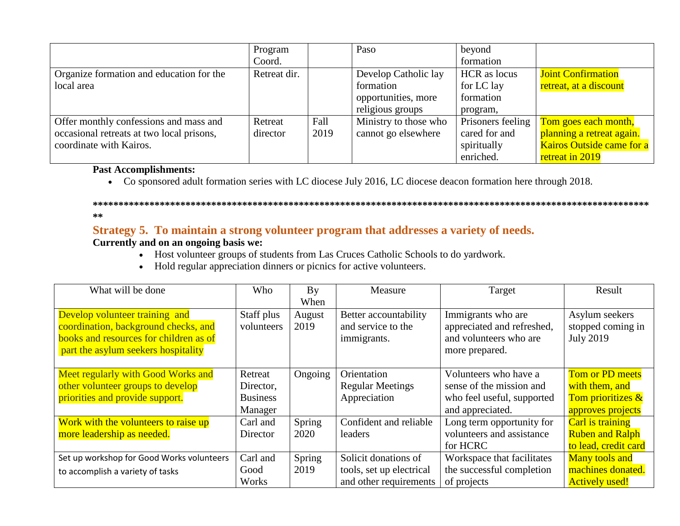|                                           | Program      |      | Paso                  | beyond            |                           |
|-------------------------------------------|--------------|------|-----------------------|-------------------|---------------------------|
|                                           | Coord.       |      |                       | formation         |                           |
| Organize formation and education for the  | Retreat dir. |      | Develop Catholic lay  | HCR as locus      | <b>Joint Confirmation</b> |
| local area                                |              |      | formation             | for LC lay        | retreat, at a discount    |
|                                           |              |      | opportunities, more   | formation         |                           |
|                                           |              |      | religious groups      | program,          |                           |
| Offer monthly confessions and mass and    | Retreat      | Fall | Ministry to those who | Prisoners feeling | Tom goes each month,      |
| occasional retreats at two local prisons, | director     | 2019 | cannot go elsewhere   | cared for and     | planning a retreat again. |
| coordinate with Kairos.                   |              |      |                       | spiritually       | Kairos Outside came for a |
|                                           |              |      |                       | enriched.         | retreat in 2019           |

### **Past Accomplishments:**

Co sponsored adult formation series with LC diocese July 2016, LC diocese deacon formation here through 2018.

#### **\*\*\*\*\*\*\*\*\*\*\*\*\*\*\*\*\*\*\*\*\*\*\*\*\*\*\*\*\*\*\*\*\*\*\*\*\*\*\*\*\*\*\*\*\*\*\*\*\*\*\*\*\*\*\*\*\*\*\*\*\*\*\*\*\*\*\*\*\*\*\*\*\*\*\*\*\*\*\*\*\*\*\*\*\*\*\*\*\*\*\*\*\*\*\*\*\*\*\*\*\*\*\*\*\*\*\*\* \*\***

# **Strategy 5. To maintain a strong volunteer program that addresses a variety of needs.**

- Host volunteer groups of students from Las Cruces Catholic Schools to do yardwork.
- Hold regular appreciation dinners or picnics for active volunteers.

| What will be done                         | Who             | By      | Measure                  | Target                     | Result                 |
|-------------------------------------------|-----------------|---------|--------------------------|----------------------------|------------------------|
|                                           |                 | When    |                          |                            |                        |
| Develop volunteer training and            | Staff plus      | August  | Better accountability    | Immigrants who are         | Asylum seekers         |
| coordination, background checks, and      | volunteers      | 2019    | and service to the       | appreciated and refreshed, | stopped coming in      |
| books and resources for children as of    |                 |         | immigrants.              | and volunteers who are     | <b>July 2019</b>       |
| part the asylum seekers hospitality       |                 |         |                          | more prepared.             |                        |
|                                           |                 |         |                          |                            |                        |
| Meet regularly with Good Works and        | Retreat         | Ongoing | Orientation              | Volunteers who have a      | <b>Tom or PD meets</b> |
| other volunteer groups to develop         | Director,       |         | <b>Regular Meetings</b>  | sense of the mission and   | with them, and         |
| priorities and provide support.           | <b>Business</b> |         | Appreciation             | who feel useful, supported | Tom prioritizes &      |
|                                           | Manager         |         |                          | and appreciated.           | approves projects      |
| Work with the volunteers to raise up      | Carl and        | Spring  | Confident and reliable   | Long term opportunity for  | Carl is training       |
| more leadership as needed.                | Director        | 2020    | leaders                  | volunteers and assistance  | <b>Ruben and Ralph</b> |
|                                           |                 |         |                          | for HCRC                   | to lead, credit card   |
| Set up workshop for Good Works volunteers | Carl and        | Spring  | Solicit donations of     | Workspace that facilitates | <b>Many tools and</b>  |
| to accomplish a variety of tasks          | Good            | 2019    | tools, set up electrical | the successful completion  | machines donated.      |
|                                           | Works           |         | and other requirements   | of projects                | <b>Actively used!</b>  |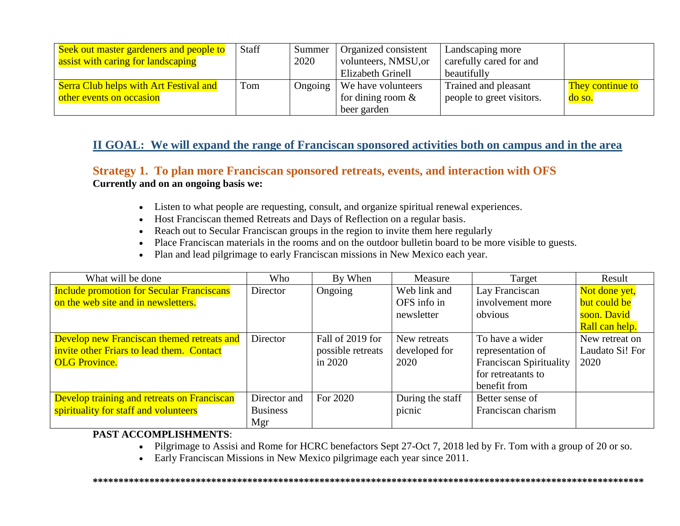| Seek out master gardeners and people to       | Staff | Summer  | Organized consistent | Landscaping more          |                  |
|-----------------------------------------------|-------|---------|----------------------|---------------------------|------------------|
| assist with caring for landscaping            |       | 2020    | volunteers, NMSU, or | carefully cared for and   |                  |
|                                               |       |         | Elizabeth Grinell    | beautifully               |                  |
| <b>Serra Club helps with Art Festival and</b> | Tom   | Ongoing | We have volunteers   | Trained and pleasant      | They continue to |
| other events on occasion                      |       |         | for dining room $\&$ | people to greet visitors. | do so.           |
|                                               |       |         | beer garden          |                           |                  |

# **II GOAL: We will expand the range of Franciscan sponsored activities both on campus and in the area**

# **Strategy 1. To plan more Franciscan sponsored retreats, events, and interaction with OFS Currently and on an ongoing basis we:**

- Listen to what people are requesting, consult, and organize spiritual renewal experiences.
- Host Franciscan themed Retreats and Days of Reflection on a regular basis.
- Reach out to Secular Franciscan groups in the region to invite them here regularly
- Place Franciscan materials in the rooms and on the outdoor bulletin board to be more visible to guests.
- Plan and lead pilgrimage to early Franciscan missions in New Mexico each year.

| What will be done                                | Who             | By When           | Measure          | Target                         | Result          |
|--------------------------------------------------|-----------------|-------------------|------------------|--------------------------------|-----------------|
| <b>Include promotion for Secular Franciscans</b> | Director        | Ongoing           | Web link and     | Lay Franciscan                 | Not done yet,   |
| on the web site and in newsletters.              |                 |                   | OFS info in      | involvement more               | but could be    |
|                                                  |                 |                   | newsletter       | obvious                        | soon. David     |
|                                                  |                 |                   |                  |                                | Rall can help.  |
| Develop new Franciscan themed retreats and       | Director        | Fall of 2019 for  | New retreats     | To have a wider                | New retreat on  |
| invite other Friars to lead them. Contact        |                 | possible retreats | developed for    | representation of              | Laudato Si! For |
| <b>OLG Province.</b>                             |                 | in 2020           | 2020             | <b>Franciscan Spirituality</b> | 2020            |
|                                                  |                 |                   |                  | for retreatants to             |                 |
|                                                  |                 |                   |                  | benefit from                   |                 |
| Develop training and retreats on Franciscan      | Director and    | For 2020          | During the staff | Better sense of                |                 |
| spirituality for staff and volunteers            | <b>Business</b> |                   | picnic           | Franciscan charism             |                 |
|                                                  | Mgr             |                   |                  |                                |                 |

#### **PAST ACCOMPLISHMENTS**:

• Pilgrimage to Assisi and Rome for HCRC benefactors Sept 27-Oct 7, 2018 led by Fr. Tom with a group of 20 or so.

**\*\*\*\*\*\*\*\*\*\*\*\*\*\*\*\*\*\*\*\*\*\*\*\*\*\*\*\*\*\*\*\*\*\*\*\*\*\*\*\*\*\*\*\*\*\*\*\*\*\*\*\*\*\*\*\*\*\*\*\*\*\*\*\*\*\*\*\*\*\*\*\*\*\*\*\*\*\*\*\*\*\*\*\*\*\*\*\*\*\*\*\*\*\*\*\*\*\*\*\*\*\*\*\*\*\*\***

Early Franciscan Missions in New Mexico pilgrimage each year since 2011.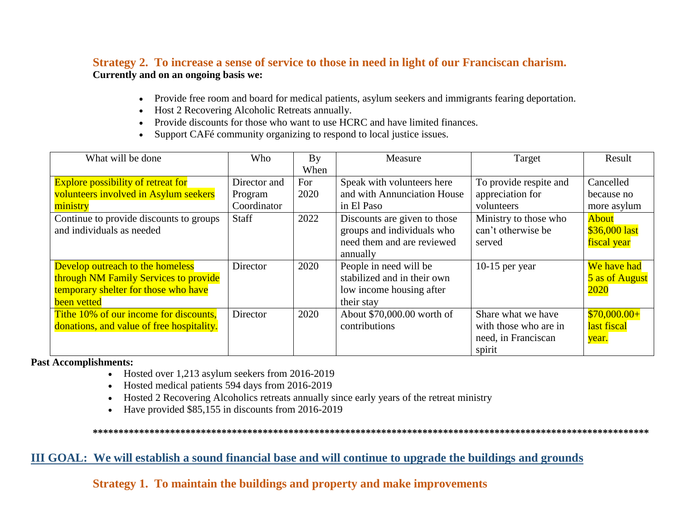# Strategy 2. To increase a sense of service to those in need in light of our Franciscan charism. Currently and on an ongoing basis we:

- Provide free room and board for medical patients, asylum seekers and immigrants fearing deportation.
- Host 2 Recovering Alcoholic Retreats annually.
- Provide discounts for those who want to use HCRC and have limited finances.
- Support CAFé community organizing to respond to local justice issues.

| What will be done                                                                                                                                                      | Who                                             | Bv                          | Measure                                                                                                                               | Target                                                                                                  | Result                                                                   |
|------------------------------------------------------------------------------------------------------------------------------------------------------------------------|-------------------------------------------------|-----------------------------|---------------------------------------------------------------------------------------------------------------------------------------|---------------------------------------------------------------------------------------------------------|--------------------------------------------------------------------------|
| <b>Explore possibility of retreat for</b><br>volunteers involved in Asylum seekers<br>ministry<br>Continue to provide discounts to groups<br>and individuals as needed | Director and<br>Program<br>Coordinator<br>Staff | When<br>For<br>2020<br>2022 | Speak with volunteers here<br>and with Annunciation House<br>in El Paso<br>Discounts are given to those<br>groups and individuals who | To provide respite and<br>appreciation for<br>volunteers<br>Ministry to those who<br>can't otherwise be | Cancelled<br>because no<br>more asylum<br><b>About</b><br>$$36,000$ last |
| Develop outreach to the homeless<br>through NM Family Services to provide<br>temporary shelter for those who have                                                      | Director                                        | 2020                        | need them and are reviewed<br>annually<br>People in need will be<br>stabilized and in their own<br>low income housing after           | served<br>10-15 per year                                                                                | fiscal year<br>We have had<br>5 as of August<br>2020                     |
| been vetted<br>Tithe 10% of our income for discounts,<br>donations, and value of free hospitality.                                                                     | Director                                        | 2020                        | their stay<br>About \$70,000.00 worth of<br>contributions                                                                             | Share what we have<br>with those who are in<br>need, in Franciscan<br>spirit                            | $$70,000.00+$<br>last fiscal<br>year.                                    |

**Past Accomplishments:** 

- Hosted over 1,213 asylum seekers from 2016-2019
- Hosted medical patients 594 days from 2016-2019
- Hosted 2 Recovering Alcoholics retreats annually since early years of the retreat ministry  $\bullet$
- Have provided \$85,155 in discounts from 2016-2019  $\bullet$

# III GOAL: We will establish a sound financial base and will continue to upgrade the buildings and grounds

Strategy 1. To maintain the buildings and property and make improvements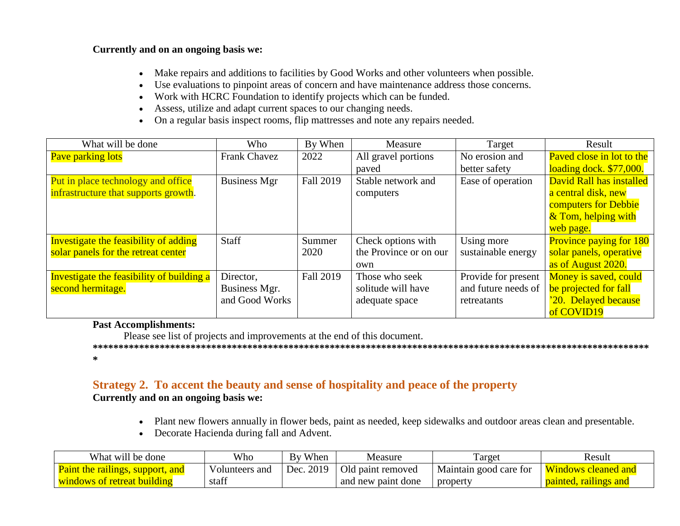#### **Currently and on an ongoing basis we:**

- Make repairs and additions to facilities by Good Works and other volunteers when possible.
- Use evaluations to pinpoint areas of concern and have maintenance address those concerns.
- Work with HCRC Foundation to identify projects which can be funded.
- Assess, utilize and adapt current spaces to our changing needs.
- On a regular basis inspect rooms, flip mattresses and note any repairs needed.

| What will be done                         | Who                 | By When          | Measure                | Target              | Result                         |
|-------------------------------------------|---------------------|------------------|------------------------|---------------------|--------------------------------|
| Pave parking lots                         | <b>Frank Chavez</b> | 2022             | All gravel portions    | No erosion and      | Paved close in lot to the      |
|                                           |                     |                  | paved                  | better safety       | loading dock. \$77,000.        |
| Put in place technology and office        | <b>Business Mgr</b> | <b>Fall 2019</b> | Stable network and     | Ease of operation   | David Rall has installed       |
| infrastructure that supports growth.      |                     |                  | computers              |                     | a central disk, new            |
|                                           |                     |                  |                        |                     | computers for Debbie           |
|                                           |                     |                  |                        |                     | & Tom, helping with            |
|                                           |                     |                  |                        |                     | web page.                      |
| Investigate the feasibility of adding     | <b>Staff</b>        | Summer           | Check options with     | Using more          | <b>Province paying for 180</b> |
| solar panels for the retreat center       |                     | 2020             | the Province or on our | sustainable energy  | solar panels, operative        |
|                                           |                     |                  | own                    |                     | as of August 2020.             |
| Investigate the feasibility of building a | Director,           | <b>Fall 2019</b> | Those who seek         | Provide for present | Money is saved, could          |
| second hermitage.                         | Business Mgr.       |                  | solitude will have     | and future needs of | be projected for fall          |
|                                           | and Good Works      |                  | adequate space         | retreatants         | '20. Delayed because           |
|                                           |                     |                  |                        |                     | of COVID19                     |

# **Past Accomplishments:**

Please see list of projects and improvements at the end of this document.

**\*\*\*\*\*\*\*\*\*\*\*\*\*\*\*\*\*\*\*\*\*\*\*\*\*\*\*\*\*\*\*\*\*\*\*\*\*\*\*\*\*\*\*\*\*\*\*\*\*\*\*\*\*\*\*\*\*\*\*\*\*\*\*\*\*\*\*\*\*\*\*\*\*\*\*\*\*\*\*\*\*\*\*\*\*\*\*\*\*\*\*\*\*\*\*\*\*\*\*\*\*\*\*\*\*\*\*\* \***

## **Strategy 2. To accent the beauty and sense of hospitality and peace of the property Currently and on an ongoing basis we:**

- Plant new flowers annually in flower beds, paint as needed, keep sidewalks and outdoor areas clean and presentable.
- Decorate Hacienda during fall and Advent.

| What will be done                       | Who            | When<br>Bv   | Measure            | l'arget                | Result                          |
|-----------------------------------------|----------------|--------------|--------------------|------------------------|---------------------------------|
| <b>Paint the railings, support, and</b> | Volunteers and | 2019<br>Dec. | Old paint removed  | Maintain good care for | <b>Windows</b> a<br>cleaned and |
| <u>windows of retreat building</u>      | staff          |              | and new paint done | property               | <u>painted, railings and</u>    |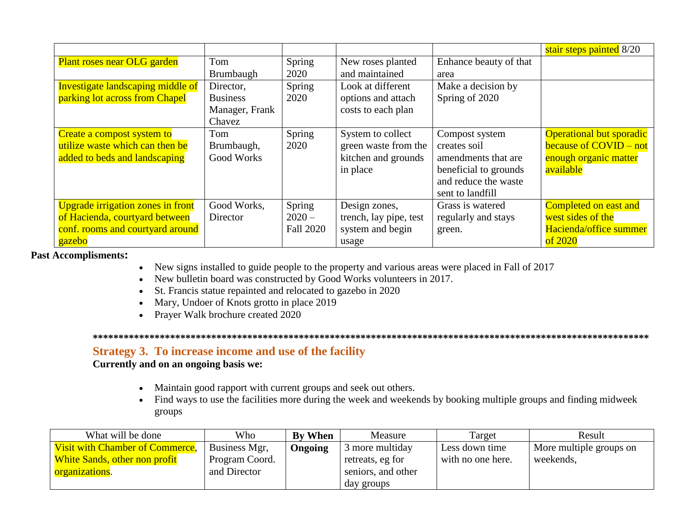|                                          |                   |                  |                        |                        | stair steps painted 8/20        |
|------------------------------------------|-------------------|------------------|------------------------|------------------------|---------------------------------|
| Plant roses near OLG garden              | Tom               | Spring           | New roses planted      | Enhance beauty of that |                                 |
|                                          | <b>Brumbaugh</b>  | 2020             | and maintained         | area                   |                                 |
| <b>Investigate landscaping middle of</b> | Director,         | Spring           | Look at different      | Make a decision by     |                                 |
| parking lot across from Chapel           | <b>Business</b>   | 2020             | options and attach     | Spring of 2020         |                                 |
|                                          | Manager, Frank    |                  | costs to each plan     |                        |                                 |
|                                          | Chavez            |                  |                        |                        |                                 |
| Create a compost system to               | Tom               | Spring           | System to collect      | Compost system         | <b>Operational but sporadic</b> |
| utilize waste which can then be          | Brumbaugh,        | 2020             | green waste from the   | creates soil           | because of COVID – not          |
| added to beds and landscaping            | <b>Good Works</b> |                  | kitchen and grounds    | amendments that are    | enough organic matter           |
|                                          |                   |                  | in place               | beneficial to grounds  | available                       |
|                                          |                   |                  |                        | and reduce the waste   |                                 |
|                                          |                   |                  |                        | sent to landfill       |                                 |
| <b>Upgrade irrigation zones in front</b> | Good Works,       | Spring           | Design zones,          | Grass is watered       | <b>Completed on east and</b>    |
| of Hacienda, courtyard between           | Director          | $2020 -$         | trench, lay pipe, test | regularly and stays    | west sides of the               |
| conf. rooms and courtyard around         |                   | <b>Fall 2020</b> | system and begin       | green.                 | Hacienda/office summer          |
| gazebo                                   |                   |                  | usage                  |                        | of 2020                         |

**Past Accomplisments:**

- New signs installed to guide people to the property and various areas were placed in Fall of 2017
- New bulletin board was constructed by Good Works volunteers in 2017.
- St. Francis statue repainted and relocated to gazebo in 2020
- Mary, Undoer of Knots grotto in place 2019
- Prayer Walk brochure created 2020

**\*\*\*\*\*\*\*\*\*\*\*\*\*\*\*\*\*\*\*\*\*\*\*\*\*\*\*\*\*\*\*\*\*\*\*\*\*\*\*\*\*\*\*\*\*\*\*\*\*\*\*\*\*\*\*\*\*\*\*\*\*\*\*\*\*\*\*\*\*\*\*\*\*\*\*\*\*\*\*\*\*\*\*\*\*\*\*\*\*\*\*\*\*\*\*\*\*\*\*\*\*\*\*\*\*\*\*\***

# **Strategy 3. To increase income and use of the facility**

- Maintain good rapport with current groups and seek out others.
- Find ways to use the facilities more during the week and weekends by booking multiple groups and finding midweek groups

| What will be done                      | Who            | <b>By When</b> | Measure            | Target            | Result                  |
|----------------------------------------|----------------|----------------|--------------------|-------------------|-------------------------|
| <b>Visit with Chamber of Commerce,</b> | Business Mgr,  | Ongoing        | 3 more multiday    | Less down time    | More multiple groups on |
| <b>White Sands, other non profit</b>   | Program Coord. |                | retreats, eg for   | with no one here. | weekends,               |
| organizations.                         | and Director   |                | seniors, and other |                   |                         |
|                                        |                |                | day groups         |                   |                         |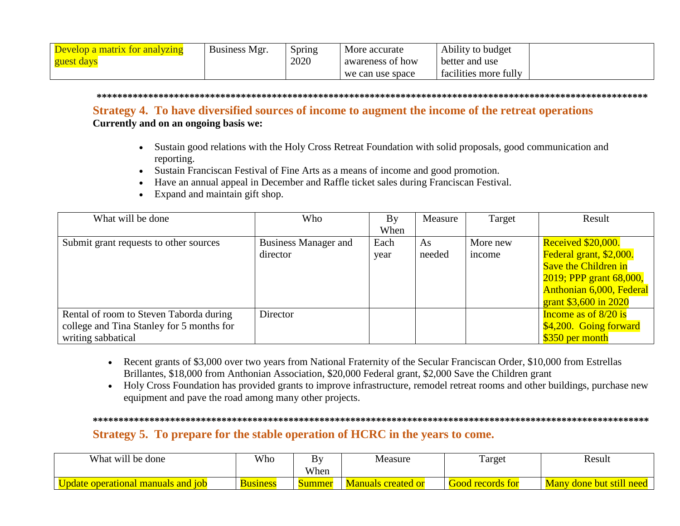| Develop a matrix for analyzing | Business Mgr. | Spring | More accurate    | Ability to budget         |
|--------------------------------|---------------|--------|------------------|---------------------------|
| guest days                     |               | 2020   | awareness of how | better and use            |
|                                |               |        | we can use space | <br>facilities more fully |

#### 

## Strategy 4. To have diversified sources of income to augment the income of the retreat operations

Currently and on an ongoing basis we:

- Sustain good relations with the Holy Cross Retreat Foundation with solid proposals, good communication and reporting.
- Sustain Franciscan Festival of Fine Arts as a means of income and good promotion.
- Have an annual appeal in December and Raffle ticket sales during Franciscan Festival.
- $\bullet$  Expand and maintain gift shop.

| What will be done                                                                                          | Who                                     | By           | Measure      | Target             | Result                                                                                                                                                              |
|------------------------------------------------------------------------------------------------------------|-----------------------------------------|--------------|--------------|--------------------|---------------------------------------------------------------------------------------------------------------------------------------------------------------------|
|                                                                                                            |                                         | When         |              |                    |                                                                                                                                                                     |
| Submit grant requests to other sources                                                                     | <b>Business Manager and</b><br>director | Each<br>year | As<br>needed | More new<br>income | <b>Received \$20,000.</b><br>Federal grant, \$2,000.<br><b>Save the Children in</b><br>2019; PPP grant 68,000,<br>Anthonian 6,000, Federal<br>grant \$3,600 in 2020 |
| Rental of room to Steven Taborda during<br>college and Tina Stanley for 5 months for<br>writing sabbatical | Director                                |              |              |                    | Income as of $8/20$ is<br>\$4,200. Going forward<br>\$350 per month                                                                                                 |

- Recent grants of \$3,000 over two years from National Fraternity of the Secular Franciscan Order, \$10,000 from Estrellas Brillantes, \$18,000 from Anthonian Association, \$20,000 Federal grant, \$2,000 Save the Children grant
- Holy Cross Foundation has provided grants to improve infrastructure, remodel retreat rooms and other buildings, purchase new equipment and pave the road among many other projects.

# Strategy 5. To prepare for the stable operation of HCRC in the years to come.

| What will be done                     | Who             | B <sub>1</sub> | Measure                   | Target                  | Result                               |
|---------------------------------------|-----------------|----------------|---------------------------|-------------------------|--------------------------------------|
|                                       |                 | When           |                           |                         |                                      |
| manuals and 10b<br>Update operational | <b>Business</b> | Summer         | <b>Manuals created or</b> | <b>Good records for</b> | v done but still need<br><b>Many</b> |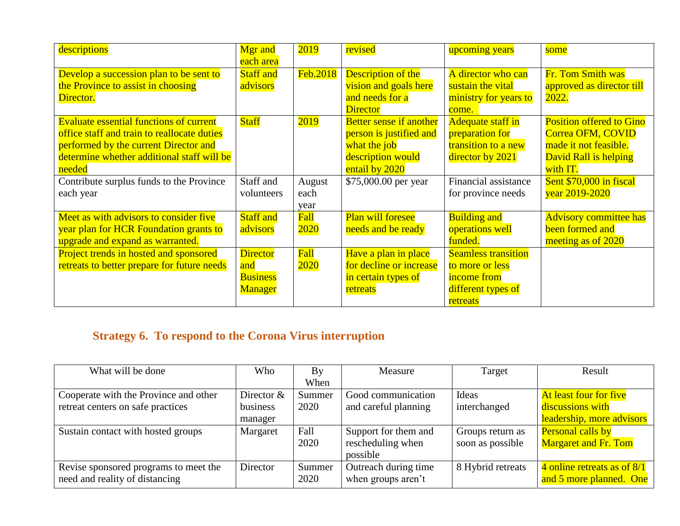| descriptions                                   | <b>Mgr</b> and   | 2019        | revised                        | upcoming years             | some                            |
|------------------------------------------------|------------------|-------------|--------------------------------|----------------------------|---------------------------------|
|                                                | each area        |             |                                |                            |                                 |
| Develop a succession plan to be sent to        | <b>Staff and</b> | Feb.2018    | <b>Description of the</b>      | A director who can         | Fr. Tom Smith was               |
| the Province to assist in choosing             | advisors         |             | vision and goals here          | sustain the vital          | approved as director till       |
| Director.                                      |                  |             | and needs for a                | ministry for years to      | 2022.                           |
|                                                |                  |             | <b>Director</b>                | come.                      |                                 |
| <b>Evaluate essential functions of current</b> | <b>Staff</b>     | 2019        | <b>Better sense if another</b> | <b>Adequate staff in</b>   | <b>Position offered to Gino</b> |
| office staff and train to reallocate duties    |                  |             | person is justified and        | preparation for            | Correa OFM, COVID               |
| performed by the current Director and          |                  |             | what the job                   | transition to a new        | made it not feasible.           |
| determine whether additional staff will be     |                  |             | description would              | director by 2021           | David Rall is helping           |
| needed                                         |                  |             | entail by 2020                 |                            | with IT.                        |
| Contribute surplus funds to the Province       | Staff and        | August      | \$75,000.00 per year           | Financial assistance       | Sent \$70,000 in fiscal         |
| each year                                      | volunteers       | each        |                                | for province needs         | year 2019-2020                  |
|                                                |                  | year        |                                |                            |                                 |
| Meet as with advisors to consider five         | <b>Staff</b> and | Fall        | <b>Plan will foresee</b>       | <b>Building and</b>        | <b>Advisory committee has</b>   |
| year plan for HCR Foundation grants to         | advisors         | 2020        | needs and be ready             | operations well            | been formed and                 |
| upgrade and expand as warranted.               |                  |             |                                | funded.                    | meeting as of 2020              |
| Project trends in hosted and sponsored         | <b>Director</b>  | <b>Fall</b> | Have a plan in place           | <b>Seamless transition</b> |                                 |
| retreats to better prepare for future needs    | and              | 2020        | for decline or increase        | to more or less            |                                 |
|                                                | <b>Business</b>  |             | in certain types of            | income from                |                                 |
|                                                | <b>Manager</b>   |             | retreats                       | different types of         |                                 |
|                                                |                  |             |                                | retreats                   |                                 |

# **Strategy 6. To respond to the Corona Virus interruption**

| What will be done                     | Who          | By     | Measure              | Target            | Result                      |
|---------------------------------------|--------------|--------|----------------------|-------------------|-----------------------------|
|                                       |              | When   |                      |                   |                             |
| Cooperate with the Province and other | Director $&$ | Summer | Good communication   | Ideas             | At least four for five      |
| retreat centers on safe practices     | business     | 2020   | and careful planning | interchanged      | discussions with            |
|                                       | manager      |        |                      |                   | leadership, more advisors   |
| Sustain contact with hosted groups    | Margaret     | Fall   | Support for them and | Groups return as  | Personal calls by           |
|                                       |              | 2020   | rescheduling when    | soon as possible  | <b>Margaret and Fr. Tom</b> |
|                                       |              |        | possible             |                   |                             |
| Revise sponsored programs to meet the | Director     | Summer | Outreach during time | 8 Hybrid retreats | 4 online retreats as of 8/1 |
| need and reality of distancing        |              | 2020   | when groups aren't   |                   | and 5 more planned. One     |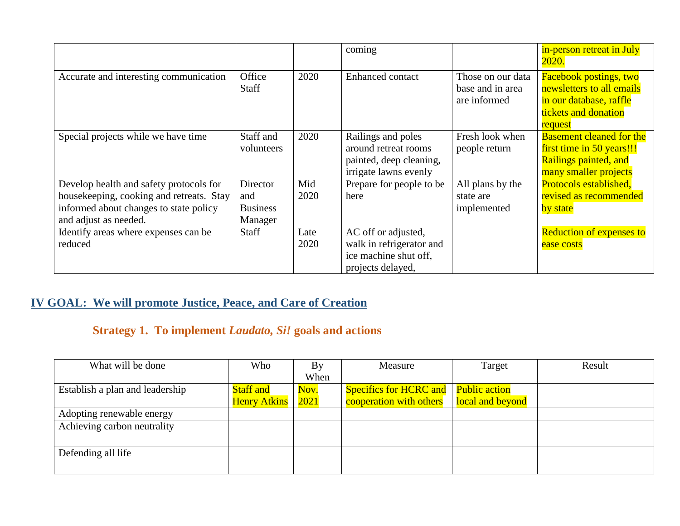|                                                                                                                                                        |                                               |              | coming                                                                                         |                                                       | in-person retreat in July<br>2020.                                                                                       |
|--------------------------------------------------------------------------------------------------------------------------------------------------------|-----------------------------------------------|--------------|------------------------------------------------------------------------------------------------|-------------------------------------------------------|--------------------------------------------------------------------------------------------------------------------------|
| Accurate and interesting communication                                                                                                                 | Office<br>Staff                               | 2020         | <b>Enhanced</b> contact                                                                        | Those on our data<br>base and in area<br>are informed | <b>Facebook postings, two</b><br>newsletters to all emails<br>in our database, raffle<br>tickets and donation<br>request |
| Special projects while we have time                                                                                                                    | Staff and<br>volunteers                       | 2020         | Railings and poles<br>around retreat rooms<br>painted, deep cleaning,<br>irrigate lawns evenly | Fresh look when<br>people return                      | <b>Basement cleaned for the</b><br>first time in 50 years!!!<br>Railings painted, and<br>many smaller projects           |
| Develop health and safety protocols for<br>housekeeping, cooking and retreats. Stay<br>informed about changes to state policy<br>and adjust as needed. | Director<br>and<br><b>Business</b><br>Manager | Mid<br>2020  | Prepare for people to be<br>here                                                               | All plans by the<br>state are<br>implemented          | Protocols established,<br>revised as recommended<br>by state                                                             |
| Identify areas where expenses can be<br>reduced                                                                                                        | Staff                                         | Late<br>2020 | AC off or adjusted,<br>walk in refrigerator and<br>ice machine shut off,<br>projects delayed,  |                                                       | <b>Reduction of expenses to</b><br>ease costs                                                                            |

# **IV GOAL: We will promote Justice, Peace, and Care of Creation**

# **Strategy 1. To implement** *Laudato, Si!* **goals and actions**

| What will be done               | Who                 | By   | Measure                                | Target           | Result |
|---------------------------------|---------------------|------|----------------------------------------|------------------|--------|
|                                 |                     | When |                                        |                  |        |
| Establish a plan and leadership | <b>Staff and</b>    | Nov. | Specifics for HCRC and   Public action |                  |        |
|                                 | <b>Henry Atkins</b> | 2021 | cooperation with others                | local and beyond |        |
| Adopting renewable energy       |                     |      |                                        |                  |        |
| Achieving carbon neutrality     |                     |      |                                        |                  |        |
|                                 |                     |      |                                        |                  |        |
| Defending all life              |                     |      |                                        |                  |        |
|                                 |                     |      |                                        |                  |        |